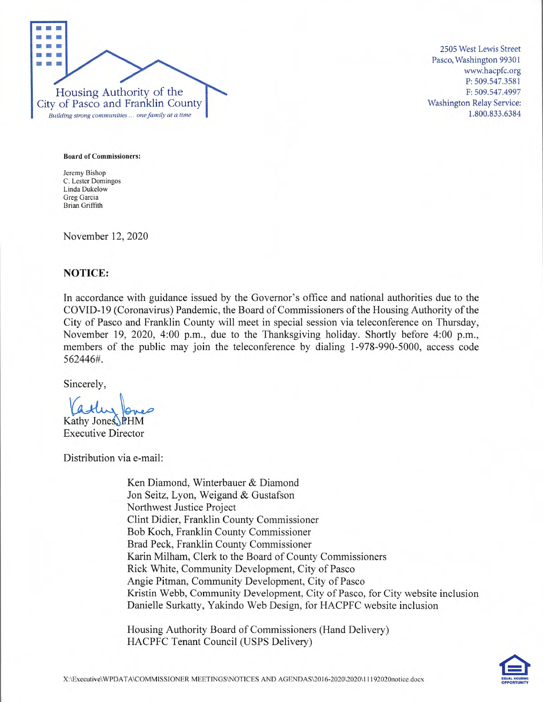

2505 West Lewis Street Pasco, Washington 99301 www.hacpfc.org P: 509.547.3581 F: 509.547.4997 Washington Relay Service: 1.800.833.6384

**Board of Commissioners:** 

Jeremy Bishop C. Lester Domingos Linda Dukelow Greg Garcia Brian Griffith

November 12, 2020

#### **NOTICE:**

In accordance with guidance issued by the Governor's office and national authorities due to the COVID-19 (Coronavirus) Pandemic, the Board of Commissioners of the Housing Authority of the City of Pasco and Franklin County will meet in special session via teleconference on Thursday, November 19, 2020, 4:00 p.m., due to the Thanksgiving holiday. Shortly before 4:00 p.m., members of the public may join the teleconference by dialing *1-978-990-5000,* access code *562446#.* 

Sincerely,

**Q7**  Kathy Jones, PHM

Executive Director

Distribution via e-mail:

Ken Diamond, Winterbauer & Diamond Jon Seitz, Lyon, Weigand & Gustafson Northwest Justice Project Clint Didier, Franklin County Commissioner Bob Koch, Franklin County Commissioner Brad Peck, Franklin County Commissioner Karin Milham, Clerk to the Board of County Commissioners Rick White, Community Development, City of Pasco Angie Pitman, Community Development, City of Pasco Kristin Webb, Community Development, City of Pasco, for City website inclusion Danielle Surkatty, Yakindo Web Design, for HACPFC website inclusion

Housing Authority Board of Commissioners (Hand Delivery) HACPFC Tenant Council (USPS Delivery)

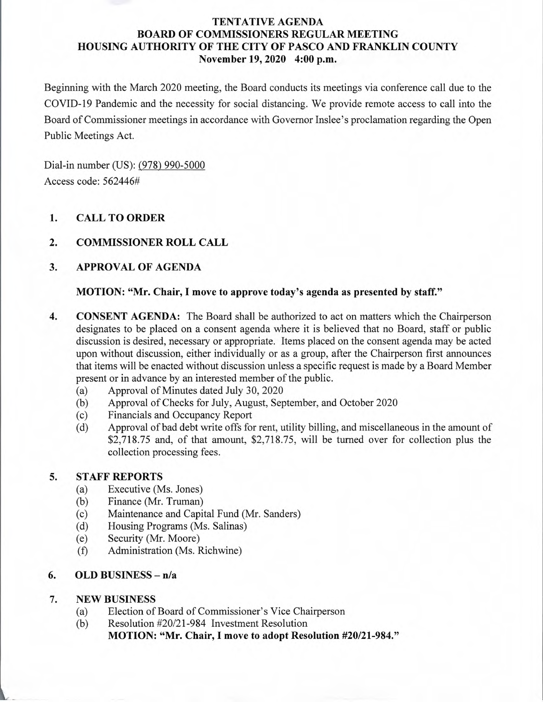# **TENTATIVE AGENDA BOARD OF COMMISSIONERS REGULAR MEETING HOUSING AUTHORITY OF THE CITY OF PASCO AND FRANKLIN COUNTY November 19, 2020 4:00 p.m.**

Beginning with the March 2020 meeting, the Board conducts its meetings via conference call due to the COVID-19 Pandemic and the necessity for social distancing. We provide remote access to call into the Board of Commissioner meetings in accordance with Governor Inslee's proclamation regarding the Open Public Meetings Act.

Dial-in number (US): (978) 990-5000 Access code: 562446#

# **1. CALL TO ORDER**

# **2. COMMISSIONER ROLL CALL**

# **3. APPROVAL OF AGENDA**

## **MOTION: "Mr. Chair, I move to approve today's agenda as presented by** *staff."*

- **4. CONSENT AGENDA:** The Board shall be authorized to act on matters which the Chairperson designates to be placed on a consent agenda where it is believed that no Board, staff or public discussion is desired, necessary or appropriate. Items placed on the consent agenda may be acted upon without discussion, either individually or as a group, after the Chairperson first announces that items will be enacted without discussion unless a specific request is made by a Board Member present or in advance by an interested member of the public.
	- (a) Approval of Minutes dated July 30, 2020
	- (b) Approval of Checks for July, August, September, and October 2020
	- (c) Financials and Occupancy Report
	- (d) Approval of bad debt write offs for rent, utility billing, and miscellaneous in the amount of \$2,718.75 and, of that amount, \$2,718.75, will be turned over for collection plus the collection processing fees.

## **5. STAFF REPORTS**

- (a) Executive (Ms. Jones)
- (b) Finance (Mr. Truman)
- (c) Maintenance and Capital Fund (Mr. Sanders)
- (d) Housing Programs (Ms. Salinas)
- (e) Security (Mr. Moore)
- (f) Administration (Ms. Richwine)

# **6. OLD BUSINESS** - **n/a**

# 7. NEW BUSINESS

- (a) Election of Board of Commissioner's Vice Chairperson
- (b) Resolution #20/21-984 Investment Resolution **MOTION: "Mr. Chair, I move to adopt Resolution #20/21-984."**